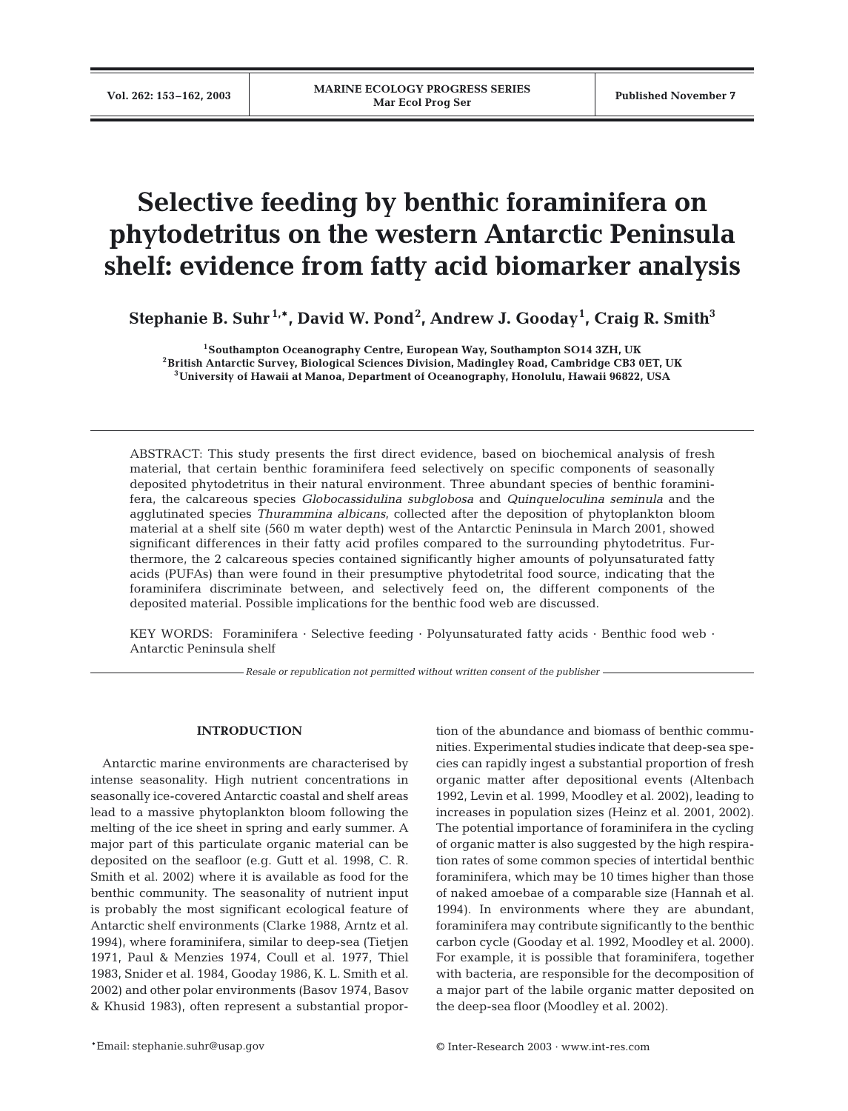# **Selective feeding by benthic foraminifera on phytodetritus on the western Antarctic Peninsula shelf: evidence from fatty acid biomarker analysis**

**Stephanie B. Suhr 1,\*, David W. Pond2 , Andrew J. Gooday<sup>1</sup> , Craig R. Smith3**

**1Southampton Oceanography Centre, European Way, Southampton SO14 3ZH, UK 2British Antarctic Survey, Biological Sciences Division, Madingley Road, Cambridge CB3 0ET, UK 3University of Hawaii at Manoa, Department of Oceanography, Honolulu, Hawaii 96822, USA**

ABSTRACT: This study presents the first direct evidence, based on biochemical analysis of fresh material, that certain benthic foraminifera feed selectively on specific components of seasonally deposited phytodetritus in their natural environment. Three abundant species of benthic foraminifera, the calcareous species *Globocassidulina subglobosa* and *Quinqueloculina seminula* and the agglutinated species *Thurammina albicans*, collected after the deposition of phytoplankton bloom material at a shelf site (560 m water depth) west of the Antarctic Peninsula in March 2001, showed significant differences in their fatty acid profiles compared to the surrounding phytodetritus. Furthermore, the 2 calcareous species contained significantly higher amounts of polyunsaturated fatty acids (PUFAs) than were found in their presumptive phytodetrital food source, indicating that the foraminifera discriminate between, and selectively feed on, the different components of the deposited material. Possible implications for the benthic food web are discussed.

KEY WORDS: Foraminifera · Selective feeding · Polyunsaturated fatty acids · Benthic food web · Antarctic Peninsula shelf

*Resale or republication not permitted without written consent of the publisher*

# **INTRODUCTION**

Antarctic marine environments are characterised by intense seasonality. High nutrient concentrations in seasonally ice-covered Antarctic coastal and shelf areas lead to a massive phytoplankton bloom following the melting of the ice sheet in spring and early summer. A major part of this particulate organic material can be deposited on the seafloor (e.g. Gutt et al. 1998, C. R. Smith et al. 2002) where it is available as food for the benthic community. The seasonality of nutrient input is probably the most significant ecological feature of Antarctic shelf environments (Clarke 1988, Arntz et al. 1994), where foraminifera, similar to deep-sea (Tietjen 1971, Paul & Menzies 1974, Coull et al. 1977, Thiel 1983, Snider et al. 1984, Gooday 1986, K. L. Smith et al. 2002) and other polar environments (Basov 1974, Basov & Khusid 1983), often represent a substantial proportion of the abundance and biomass of benthic communities. Experimental studies indicate that deep-sea species can rapidly ingest a substantial proportion of fresh organic matter after depositional events (Altenbach 1992, Levin et al. 1999, Moodley et al. 2002), leading to increases in population sizes (Heinz et al. 2001, 2002). The potential importance of foraminifera in the cycling of organic matter is also suggested by the high respiration rates of some common species of intertidal benthic foraminifera, which may be 10 times higher than those of naked amoebae of a comparable size (Hannah et al. 1994). In environments where they are abundant, foraminifera may contribute significantly to the benthic carbon cycle (Gooday et al. 1992, Moodley et al. 2000). For example, it is possible that foraminifera, together with bacteria, are responsible for the decomposition of a major part of the labile organic matter deposited on the deep-sea floor (Moodley et al. 2002).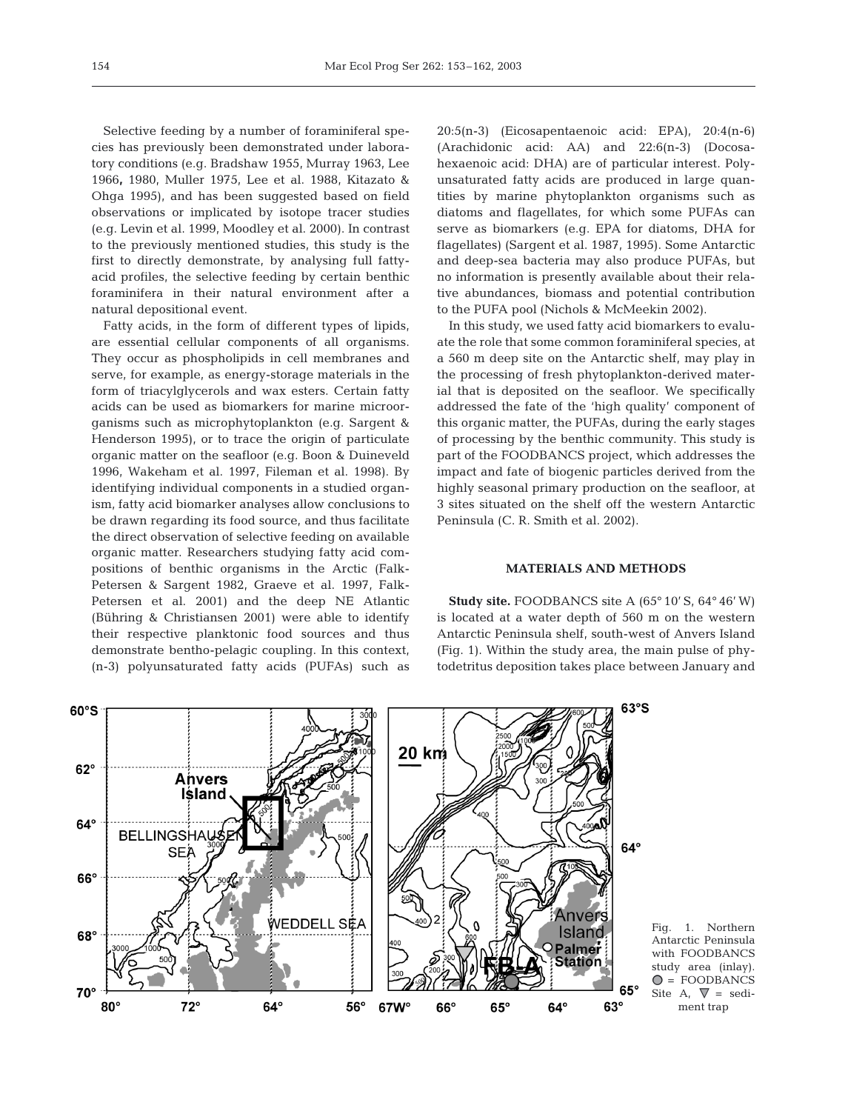Selective feeding by a number of foraminiferal species has previously been demonstrated under laboratory conditions (e.g. Bradshaw 1955, Murray 1963, Lee 1966**,** 1980, Muller 1975, Lee et al. 1988, Kitazato & Ohga 1995), and has been suggested based on field observations or implicated by isotope tracer studies (e.g. Levin et al. 1999, Moodley et al. 2000). In contrast to the previously mentioned studies, this study is the first to directly demonstrate, by analysing full fattyacid profiles, the selective feeding by certain benthic foraminifera in their natural environment after a natural depositional event.

Fatty acids, in the form of different types of lipids, are essential cellular components of all organisms. They occur as phospholipids in cell membranes and serve, for example, as energy-storage materials in the form of triacylglycerols and wax esters. Certain fatty acids can be used as biomarkers for marine microorganisms such as microphytoplankton (e.g. Sargent & Henderson 1995), or to trace the origin of particulate organic matter on the seafloor (e.g. Boon & Duineveld 1996, Wakeham et al. 1997, Fileman et al. 1998). By identifying individual components in a studied organism, fatty acid biomarker analyses allow conclusions to be drawn regarding its food source, and thus facilitate the direct observation of selective feeding on available organic matter. Researchers studying fatty acid compositions of benthic organisms in the Arctic (Falk-Petersen & Sargent 1982, Graeve et al. 1997, Falk-Petersen et al. 2001) and the deep NE Atlantic (Bühring & Christiansen 2001) were able to identify their respective planktonic food sources and thus demonstrate bentho-pelagic coupling. In this context, (n-3) polyunsaturated fatty acids (PUFAs) such as

20:5(n-3) (Eicosapentaenoic acid: EPA), 20:4(n-6) (Arachidonic acid: AA) and 22:6(n-3) (Docosahexaenoic acid: DHA) are of particular interest. Polyunsaturated fatty acids are produced in large quantities by marine phytoplankton organisms such as diatoms and flagellates, for which some PUFAs can serve as biomarkers (e.g. EPA for diatoms, DHA for flagellates) (Sargent et al. 1987, 1995). Some Antarctic and deep-sea bacteria may also produce PUFAs, but no information is presently available about their relative abundances, biomass and potential contribution to the PUFA pool (Nichols & McMeekin 2002).

In this study, we used fatty acid biomarkers to evaluate the role that some common foraminiferal species, at a 560 m deep site on the Antarctic shelf, may play in the processing of fresh phytoplankton-derived material that is deposited on the seafloor. We specifically addressed the fate of the 'high quality' component of this organic matter, the PUFAs, during the early stages of processing by the benthic community. This study is part of the FOODBANCS project, which addresses the impact and fate of biogenic particles derived from the highly seasonal primary production on the seafloor, at 3 sites situated on the shelf off the western Antarctic Peninsula (C. R. Smith et al. 2002).

### **MATERIALS AND METHODS**

**Study site.** FOODBANCS site A (65° 10' S, 64° 46' W) is located at a water depth of 560 m on the western Antarctic Peninsula shelf, south-west of Anvers Island (Fig. 1). Within the study area, the main pulse of phytodetritus deposition takes place between January and

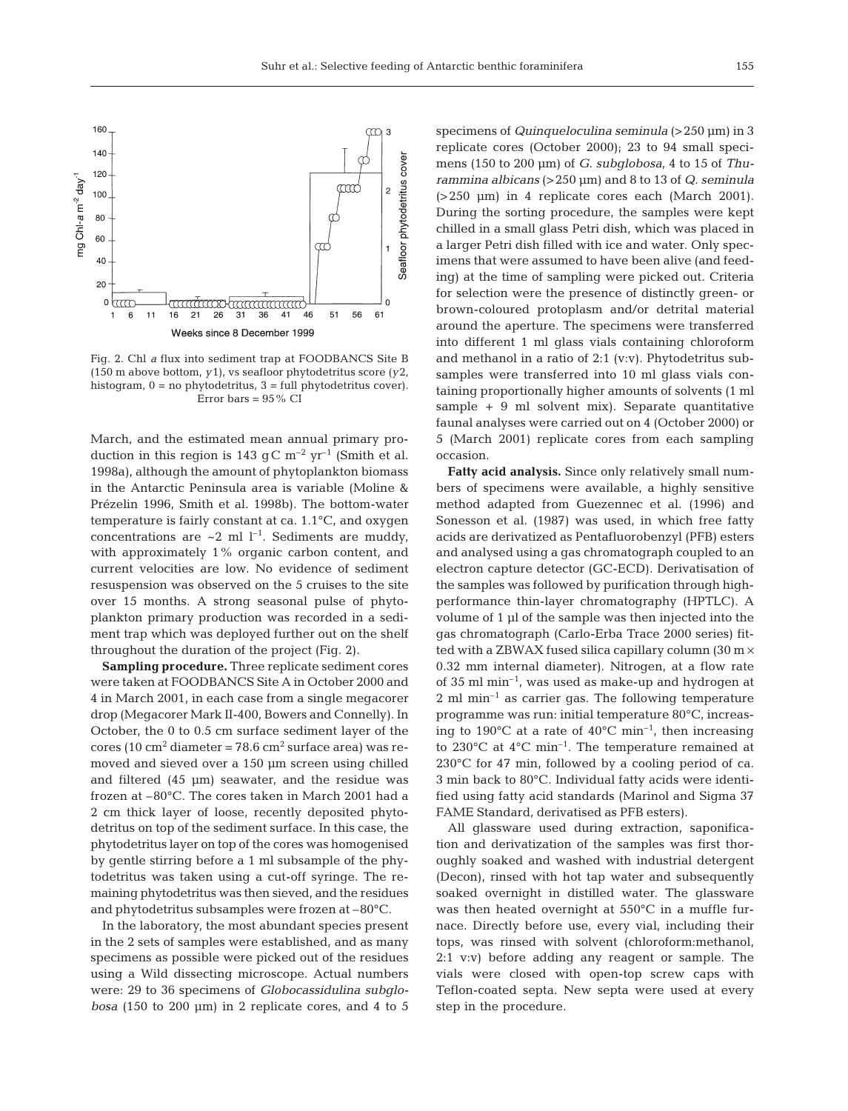

Fig. 2. Chl *a* flux into sediment trap at FOODBANCS Site B (150 m above bottom, *y*1), vs seafloor phytodetritus score *(y*2, histogram, 0 = no phytodetritus, 3 = full phytodetritus cover). Error bars  $= 95\%$  CI

March, and the estimated mean annual primary production in this region is 143 g C  $m^{-2}$  yr<sup>-1</sup> (Smith et al. 1998a), although the amount of phytoplankton biomass in the Antarctic Peninsula area is variable (Moline & Prézelin 1996, Smith et al. 1998b). The bottom-water temperature is fairly constant at ca. 1.1°C, and oxygen concentrations are  $\sim 2$  ml l<sup>-1</sup>. Sediments are muddy, with approximately 1% organic carbon content, and current velocities are low. No evidence of sediment resuspension was observed on the 5 cruises to the site over 15 months. A strong seasonal pulse of phytoplankton primary production was recorded in a sediment trap which was deployed further out on the shelf throughout the duration of the project (Fig. 2).

**Sampling procedure.** Three replicate sediment cores were taken at FOODBANCS Site A in October 2000 and 4 in March 2001, in each case from a single megacorer drop (Megacorer Mark II-400, Bowers and Connelly). In October, the 0 to 0.5 cm surface sediment layer of the cores (10 cm<sup>2</sup> diameter = 78.6 cm<sup>2</sup> surface area) was removed and sieved over a 150 µm screen using chilled and filtered (45 µm) seawater, and the residue was frozen at –80°C. The cores taken in March 2001 had a 2 cm thick layer of loose, recently deposited phytodetritus on top of the sediment surface. In this case, the phytodetritus layer on top of the cores was homogenised by gentle stirring before a 1 ml subsample of the phytodetritus was taken using a cut-off syringe. The remaining phytodetritus was then sieved, and the residues and phytodetritus subsamples were frozen at –80°C.

In the laboratory, the most abundant species present in the 2 sets of samples were established, and as many specimens as possible were picked out of the residues using a Wild dissecting microscope. Actual numbers were: 29 to 36 specimens of *Globocassidulina subglobosa* (150 to 200 µm) in 2 replicate cores, and 4 to 5

specimens of *Quinqueloculina seminula* (>250 µm) in 3 replicate cores (October 2000); 23 to 94 small specimens (150 to 200 µm) of *G. subglobosa*, 4 to 15 of *Thurammina albicans* (>250 µm) and 8 to 13 of *Q. seminula* (>250 µm) in 4 replicate cores each (March 2001). During the sorting procedure, the samples were kept chilled in a small glass Petri dish, which was placed in a larger Petri dish filled with ice and water. Only specimens that were assumed to have been alive (and feeding) at the time of sampling were picked out. Criteria for selection were the presence of distinctly green- or brown-coloured protoplasm and/or detrital material around the aperture. The specimens were transferred into different 1 ml glass vials containing chloroform and methanol in a ratio of 2:1 (v:v). Phytodetritus subsamples were transferred into 10 ml glass vials containing proportionally higher amounts of solvents (1 ml sample + 9 ml solvent mix). Separate quantitative faunal analyses were carried out on 4 (October 2000) or 5 (March 2001) replicate cores from each sampling occasion.

**Fatty acid analysis.** Since only relatively small numbers of specimens were available, a highly sensitive method adapted from Guezennec et al. (1996) and Sonesson et al. (1987) was used, in which free fatty acids are derivatized as Pentafluorobenzyl (PFB) esters and analysed using a gas chromatograph coupled to an electron capture detector (GC-ECD). Derivatisation of the samples was followed by purification through highperformance thin-layer chromatography (HPTLC). A volume of 1 µl of the sample was then injected into the gas chromatograph (Carlo-Erba Trace 2000 series) fitted with a ZBWAX fused silica capillary column  $(30 \text{ m} \times$ 0.32 mm internal diameter). Nitrogen, at a flow rate of 35 ml min–1, was used as make-up and hydrogen at  $2 \text{ ml } \text{min}^{-1}$  as carrier gas. The following temperature programme was run: initial temperature 80°C, increasing to 190 $^{\circ}$ C at a rate of 40 $^{\circ}$ C min<sup>-1</sup>, then increasing to 230°C at 4°C min–1. The temperature remained at 230°C for 47 min, followed by a cooling period of ca. 3 min back to 80°C. Individual fatty acids were identified using fatty acid standards (Marinol and Sigma 37 FAME Standard, derivatised as PFB esters).

All glassware used during extraction, saponification and derivatization of the samples was first thoroughly soaked and washed with industrial detergent (Decon), rinsed with hot tap water and subsequently soaked overnight in distilled water. The glassware was then heated overnight at 550°C in a muffle furnace. Directly before use, every vial, including their tops, was rinsed with solvent (chloroform:methanol, 2:1 v:v) before adding any reagent or sample. The vials were closed with open-top screw caps with Teflon-coated septa. New septa were used at every step in the procedure.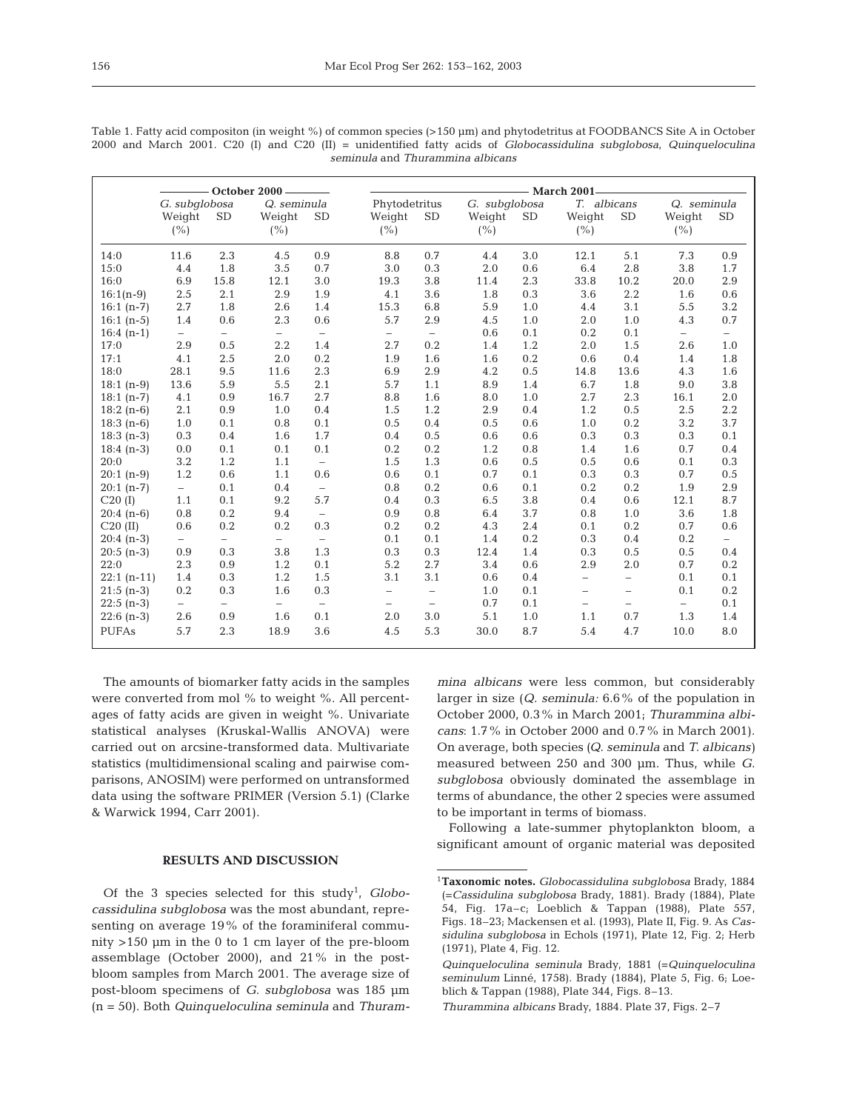|                                  |  |  |  |  |  |  |  |  |  |  |  | Table 1. Fatty acid compositon (in weight %) of common species (>150 µm) and phytodetritus at FOODBANCS Site A in October           |
|----------------------------------|--|--|--|--|--|--|--|--|--|--|--|-------------------------------------------------------------------------------------------------------------------------------------|
|                                  |  |  |  |  |  |  |  |  |  |  |  | 2000 and March 2001. C20 (I) and C20 (II) = unidentified fatty acids of <i>Globocassidulina subglobosa</i> , <i>Quinqueloculina</i> |
| seminula and Thurammina albicans |  |  |  |  |  |  |  |  |  |  |  |                                                                                                                                     |

|              |                                 |      | October 2000 -               |                          | $-$ March 2001                  |                          |                                 |           |                               |                          |                               |                          |  |  |
|--------------|---------------------------------|------|------------------------------|--------------------------|---------------------------------|--------------------------|---------------------------------|-----------|-------------------------------|--------------------------|-------------------------------|--------------------------|--|--|
|              | G. subglobosa<br>Weight<br>(% ) | SD   | Q. seminula<br>Weight<br>(%) | <b>SD</b>                | Phytodetritus<br>Weight<br>(% ) | <b>SD</b>                | G. subglobosa<br>Weight<br>(% ) | <b>SD</b> | T. albicans<br>Weight<br>(% ) | <b>SD</b>                | Q. seminula<br>Weight<br>(% ) | SD                       |  |  |
| 14:0         | 11.6                            | 2.3  | 4.5                          | 0.9                      | 8.8                             | 0.7                      | 4.4                             | 3.0       | 12.1                          | 5.1                      | 7.3                           | 0.9                      |  |  |
| 15:0         | 4.4                             | 1.8  | 3.5                          | 0.7                      | 3.0                             | 0.3                      | 2.0                             | 0.6       | 6.4                           | 2.8                      | 3.8                           | 1.7                      |  |  |
| 16:0         | 6.9                             | 15.8 | 12.1                         | 3.0                      | 19.3                            | 3.8                      | 11.4                            | 2.3       | 33.8                          | 10.2                     | 20.0                          | 2.9                      |  |  |
| $16:1(n-9)$  | 2.5                             | 2.1  | 2.9                          | 1.9                      | 4.1                             | 3.6                      | 1.8                             | 0.3       | 3.6                           | 2.2                      | 1.6                           | 0.6                      |  |  |
| $16:1(n-7)$  | 2.7                             | 1.8  | 2.6                          | 1.4                      | 15.3                            | 6.8                      | 5.9                             | 1.0       | 4.4                           | 3.1                      | 5.5                           | 3.2                      |  |  |
| $16:1(n-5)$  | 1.4                             | 0.6  | 2.3                          | 0.6                      | 5.7                             | 2.9                      | 4.5                             | 1.0       | 2.0                           | 1.0                      | 4.3                           | 0.7                      |  |  |
| $16:4(n-1)$  | $\overline{\phantom{a}}$        | $-$  | $\overline{\phantom{0}}$     | $\overline{\phantom{0}}$ | $-$                             | $\equiv$                 | 0.6                             | 0.1       | 0.2                           | 0.1                      | $\overline{\phantom{0}}$      | $\overline{\phantom{a}}$ |  |  |
| 17:0         | 2.9                             | 0.5  | 2.2                          | 1.4                      | 2.7                             | 0.2                      | 1.4                             | 1.2       | 2.0                           | 1.5                      | 2.6                           | 1.0                      |  |  |
| 17:1         | 4.1                             | 2.5  | 2.0                          | 0.2                      | 1.9                             | 1.6                      | 1.6                             | 0.2       | 0.6                           | 0.4                      | 1.4                           | 1.8                      |  |  |
| 18:0         | 28.1                            | 9.5  | 11.6                         | 2.3                      | 6.9                             | 2.9                      | 4.2                             | 0.5       | 14.8                          | 13.6                     | 4.3                           | 1.6                      |  |  |
| $18:1(n-9)$  | 13.6                            | 5.9  | 5.5                          | 2.1                      | 5.7                             | 1.1                      | 8.9                             | 1.4       | 6.7                           | 1.8                      | 9.0                           | 3.8                      |  |  |
| $18:1(n-7)$  | 4.1                             | 0.9  | 16.7                         | 2.7                      | 8.8                             | 1.6                      | 8.0                             | 1.0       | 2.7                           | 2.3                      | 16.1                          | 2.0                      |  |  |
| $18:2(n-6)$  | 2.1                             | 0.9  | 1.0                          | 0.4                      | 1.5                             | 1.2                      | 2.9                             | 0.4       | 1.2                           | 0.5                      | 2.5                           | 2.2                      |  |  |
| $18:3(n-6)$  | 1.0                             | 0.1  | 0.8                          | 0.1                      | 0.5                             | 0.4                      | 0.5                             | 0.6       | 1.0                           | 0.2                      | 3.2                           | 3.7                      |  |  |
| $18:3(n-3)$  | 0.3                             | 0.4  | 1.6                          | 1.7                      | 0.4                             | 0.5                      | 0.6                             | 0.6       | 0.3                           | 0.3                      | 0.3                           | 0.1                      |  |  |
| $18:4(n-3)$  | 0.0                             | 0.1  | 0.1                          | 0.1                      | 0.2                             | 0.2                      | 1.2                             | 0.8       | 1.4                           | 1.6                      | 0.7                           | 0.4                      |  |  |
| 20:0         | 3.2                             | 1.2  | 1.1                          | $\overline{\phantom{a}}$ | 1.5                             | 1.3                      | 0.6                             | 0.5       | 0.5                           | 0.6                      | 0.1                           | 0.3                      |  |  |
| $20:1(n-9)$  | 1.2                             | 0.6  | 1.1                          | 0.6                      | 0.6                             | 0.1                      | 0.7                             | 0.1       | 0.3                           | 0.3                      | 0.7                           | 0.5                      |  |  |
| $20:1(n-7)$  | $\overline{\phantom{a}}$        | 0.1  | 0.4                          | $\equiv$                 | 0.8                             | 0.2                      | 0.6                             | 0.1       | 0.2                           | 0.2                      | 1.9                           | 2.9                      |  |  |
| C20(I)       | 1.1                             | 0.1  | 9.2                          | 5.7                      | 0.4                             | 0.3                      | 6.5                             | 3.8       | 0.4                           | 0.6                      | 12.1                          | 8.7                      |  |  |
| $20:4(n-6)$  | 0.8                             | 0.2  | 9.4                          | $\equiv$                 | 0.9                             | 0.8                      | 6.4                             | 3.7       | 0.8                           | 1.0                      | 3.6                           | 1.8                      |  |  |
| $C20$ (II)   | 0.6                             | 0.2  | 0.2                          | 0.3                      | 0.2                             | 0.2                      | 4.3                             | 2.4       | 0.1                           | 0.2                      | 0.7                           | 0.6                      |  |  |
| $20:4(n-3)$  | $-$                             | $-$  | $\overline{\phantom{0}}$     | $\overline{\phantom{a}}$ | 0.1                             | 0.1                      | 1.4                             | 0.2       | 0.3                           | 0.4                      | 0.2                           | $\overline{\phantom{0}}$ |  |  |
| $20:5(n-3)$  | 0.9                             | 0.3  | 3.8                          | 1.3                      | 0.3                             | 0.3                      | 12.4                            | 1.4       | 0.3                           | 0.5                      | 0.5                           | 0.4                      |  |  |
| 22:0         | 2.3                             | 0.9  | 1.2                          | 0.1                      | 5.2                             | 2.7                      | 3.4                             | 0.6       | 2.9                           | 2.0                      | 0.7                           | 0.2                      |  |  |
| $22:1(n-11)$ | 1.4                             | 0.3  | 1.2                          | 1.5                      | 3.1                             | 3.1                      | 0.6                             | 0.4       | $\overline{\phantom{0}}$      | $\overline{\phantom{a}}$ | 0.1                           | 0.1                      |  |  |
| $21:5(n-3)$  | 0.2                             | 0.3  | 1.6                          | 0.3                      | $\overline{\phantom{0}}$        | $\overline{\phantom{0}}$ | 1.0                             | 0.1       | $\overline{\phantom{0}}$      | $\overline{\phantom{a}}$ | 0.1                           | 0.2                      |  |  |
| $22:5(n-3)$  | $-$                             | $-$  | $-$                          | $\overline{\phantom{a}}$ | $\overline{\phantom{0}}$        | $\qquad \qquad -$        | 0.7                             | 0.1       | -                             | $\qquad \qquad -$        | $\overline{\phantom{0}}$      | 0.1                      |  |  |
| $22:6(n-3)$  | 2.6                             | 0.9  | 1.6                          | 0.1                      | 2.0                             | 3.0                      | 5.1                             | 1.0       | 1.1                           | 0.7                      | 1.3                           | 1.4                      |  |  |
| <b>PUFAs</b> | 5.7                             | 2.3  | 18.9                         | 3.6                      | 4.5                             | 5.3                      | 30.0                            | 8.7       | 5.4                           | 4.7                      | 10.0                          | 8.0                      |  |  |

The amounts of biomarker fatty acids in the samples were converted from mol % to weight %. All percentages of fatty acids are given in weight %. Univariate statistical analyses (Kruskal-Wallis ANOVA) were carried out on arcsine-transformed data. Multivariate statistics (multidimensional scaling and pairwise comparisons, ANOSIM) were performed on untransformed data using the software PRIMER (Version 5.1) (Clarke & Warwick 1994, Carr 2001).

## **RESULTS AND DISCUSSION**

Of the 3 species selected for this study<sup>1</sup>, Globo*cassidulina subglobosa* was the most abundant, representing on average 19% of the foraminiferal community >150 µm in the 0 to 1 cm layer of the pre-bloom assemblage (October 2000), and 21% in the postbloom samples from March 2001. The average size of post-bloom specimens of *G. subglobosa* was 185 µm (n = 50). Both *Quinqueloculina seminula* and *Thuram-*

*mina albicans* were less common, but considerably larger in size (*Q. seminula:* 6.6% of the population in October 2000, 0.3% in March 2001; *Thurammina albicans*: 1.7% in October 2000 and 0.7% in March 2001). On average, both species *(Q. seminula* and *T. albicans)* measured between 250 and 300 µm. Thus, while *G. subglobosa* obviously dominated the assemblage in terms of abundance, the other 2 species were assumed to be important in terms of biomass.

Following a late-summer phytoplankton bloom, a significant amount of organic material was deposited

<sup>1</sup>**Taxonomic notes.** *Globocassidulina subglobosa* Brady, 1884 (=*Cassidulina subglobosa* Brady, 1881). Brady (1884), Plate 54, Fig. 17a–c; Loeblich & Tappan (1988), Plate 557, Figs. 18–23; Mackensen et al. (1993), Plate II, Fig. 9. As *Cassidulina subglobosa* in Echols (1971), Plate 12, Fig. 2; Herb (1971), Plate 4, Fig. 12.

<sup>1</sup>*Quinqueloculina seminula* Brady, 1881 (=*Quinqueloculina seminulum* Linné, 1758). Brady (1884), Plate 5, Fig. 6; Loeblich & Tappan (1988), Plate 344, Figs. 8–13.

<sup>1</sup>*Thurammina albicans* Brady, 1884. Plate 37, Figs. 2–7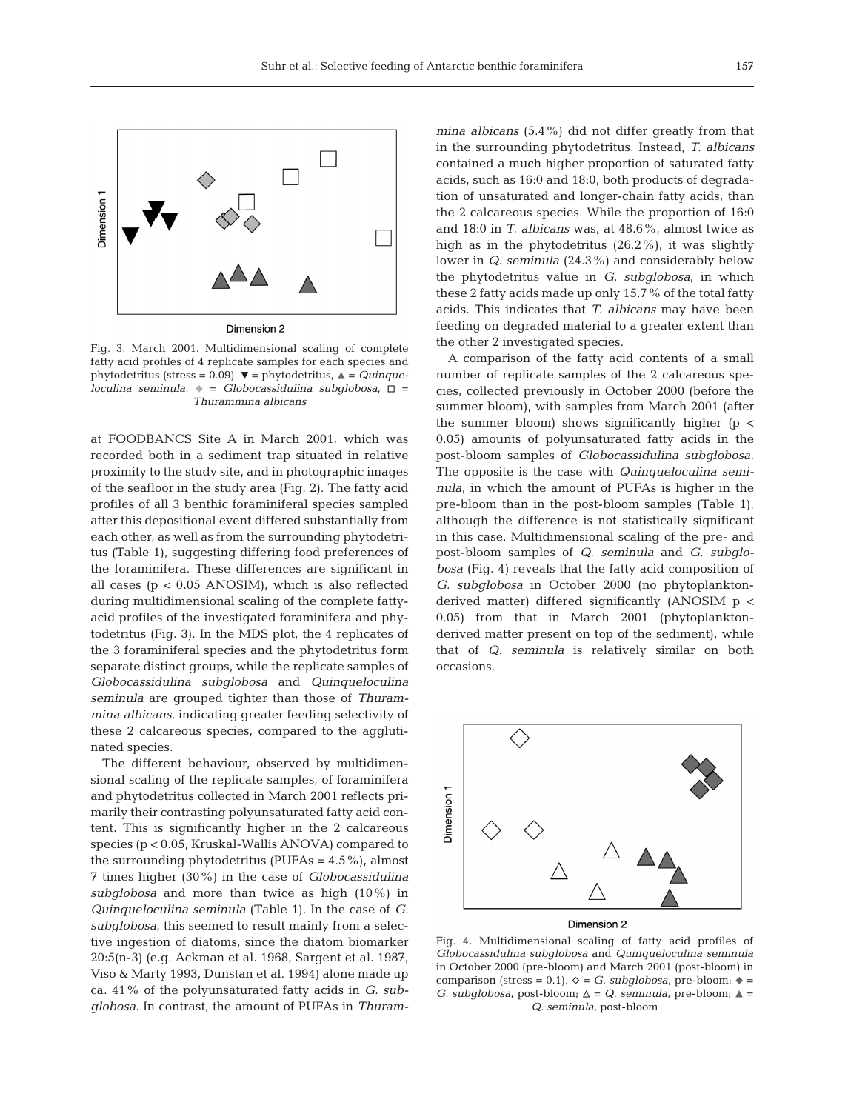

Dimension 2

Fig. 3. March 2001. Multidimensional scaling of complete fatty acid profiles of 4 replicate samples for each species and phytodetritus (stress = 0.09).  $\blacktriangledown$  = phytodetritus,  $\blacktriangle$  = *Quinque* $loculina seminula,$   $\bullet$  = *Globocassidulina subglobosa*,  $\Box$  = *Thurammina albicans*

at FOODBANCS Site A in March 2001, which was recorded both in a sediment trap situated in relative proximity to the study site, and in photographic images of the seafloor in the study area (Fig. 2). The fatty acid profiles of all 3 benthic foraminiferal species sampled after this depositional event differed substantially from each other, as well as from the surrounding phytodetritus (Table 1), suggesting differing food preferences of the foraminifera. These differences are significant in all cases ( $p < 0.05$  ANOSIM), which is also reflected during multidimensional scaling of the complete fattyacid profiles of the investigated foraminifera and phytodetritus (Fig. 3). In the MDS plot, the 4 replicates of the 3 foraminiferal species and the phytodetritus form separate distinct groups, while the replicate samples of *Globocassidulina subglobosa* and *Quinqueloculina seminula* are grouped tighter than those of *Thurammina albicans*, indicating greater feeding selectivity of these 2 calcareous species, compared to the agglutinated species.

The different behaviour, observed by multidimensional scaling of the replicate samples, of foraminifera and phytodetritus collected in March 2001 reflects primarily their contrasting polyunsaturated fatty acid content. This is significantly higher in the 2 calcareous species (p < 0.05, Kruskal-Wallis ANOVA) compared to the surrounding phytodetritus (PUFAs  $= 4.5\%$ ), almost 7 times higher (30%) in the case of *Globocassidulina subglobosa* and more than twice as high (10%) in *Quinqueloculina seminula* (Table 1). In the case of *G. subglobosa*, this seemed to result mainly from a selective ingestion of diatoms, since the diatom biomarker 20:5(n-3) (e.g. Ackman et al. 1968, Sargent et al. 1987, Viso & Marty 1993, Dunstan et al. 1994) alone made up ca. 41% of the polyunsaturated fatty acids in *G. subglobosa*. In contrast, the amount of PUFAs in *Thuram-*

*mina albicans* (5.4%) did not differ greatly from that in the surrounding phytodetritus. Instead, *T. albicans* contained a much higher proportion of saturated fatty acids, such as 16:0 and 18:0, both products of degradation of unsaturated and longer-chain fatty acids, than the 2 calcareous species. While the proportion of 16:0 and 18:0 in *T. albicans* was, at 48.6%, almost twice as high as in the phytodetritus (26.2%), it was slightly lower in *Q. seminula* (24.3%) and considerably below the phytodetritus value in *G. subglobosa*, in which these 2 fatty acids made up only 15.7% of the total fatty acids. This indicates that *T. albicans* may have been feeding on degraded material to a greater extent than the other 2 investigated species.

A comparison of the fatty acid contents of a small number of replicate samples of the 2 calcareous species, collected previously in October 2000 (before the summer bloom), with samples from March 2001 (after the summer bloom) shows significantly higher ( $p <$ 0.05) amounts of polyunsaturated fatty acids in the post-bloom samples of *Globocassidulina subglobosa*. The opposite is the case with *Quinqueloculina seminula*, in which the amount of PUFAs is higher in the pre-bloom than in the post-bloom samples (Table 1), although the difference is not statistically significant in this case. Multidimensional scaling of the pre- and post-bloom samples of *Q. seminula* and *G. subglobosa* (Fig. 4) reveals that the fatty acid composition of *G. subglobosa* in October 2000 (no phytoplanktonderived matter) differed significantly (ANOSIM p < 0.05) from that in March 2001 (phytoplanktonderived matter present on top of the sediment), while that of *Q. seminula* is relatively similar on both occasions.



Dimension 2

Fig. 4. Multidimensional scaling of fatty acid profiles of *Globocassidulina subglobosa* and *Quinqueloculina seminula* in October 2000 (pre-bloom) and March 2001 (post-bloom) in comparison (stress = 0.1).  $\diamond$  = *G. subglobosa*, pre-bloom;  $\blacklozenge$  = *G. subglobosa*, post-bloom;  $\Delta = Q$ . seminula, pre-bloom;  $\Delta =$ *Q. seminula*, post-bloom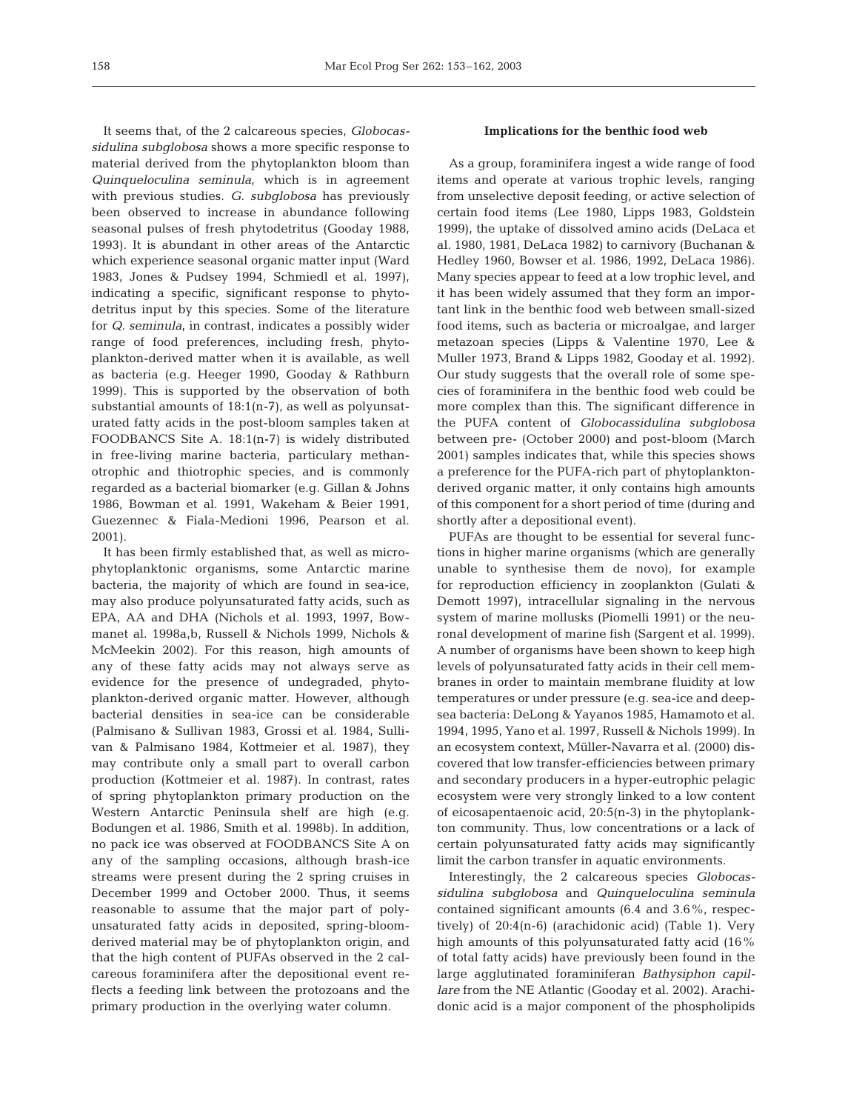It seems that, of the 2 calcareous species, *Globocassidulina subglobosa* shows a more specific response to material derived from the phytoplankton bloom than *Quinqueloculina seminula*, which is in agreement with previous studies. *G. subglobosa* has previously been observed to increase in abundance following seasonal pulses of fresh phytodetritus (Gooday 1988, 1993). It is abundant in other areas of the Antarctic which experience seasonal organic matter input (Ward 1983, Jones & Pudsey 1994, Schmiedl et al. 1997), indicating a specific, significant response to phytodetritus input by this species. Some of the literature for *Q. seminula*, in contrast, indicates a possibly wider range of food preferences, including fresh, phytoplankton-derived matter when it is available, as well as bacteria (e.g. Heeger 1990, Gooday & Rathburn 1999). This is supported by the observation of both substantial amounts of 18:1(n-7), as well as polyunsaturated fatty acids in the post-bloom samples taken at FOODBANCS Site A. 18:1(n-7) is widely distributed in free-living marine bacteria, particulary methanotrophic and thiotrophic species, and is commonly regarded as a bacterial biomarker (e.g. Gillan & Johns 1986, Bowman et al. 1991, Wakeham & Beier 1991, Guezennec & Fiala-Medioni 1996, Pearson et al. 2001).

It has been firmly established that, as well as microphytoplanktonic organisms, some Antarctic marine bacteria, the majority of which are found in sea-ice, may also produce polyunsaturated fatty acids, such as EPA, AA and DHA (Nichols et al. 1993, 1997, Bowmanet al. 1998a,b, Russell & Nichols 1999, Nichols & McMeekin 2002). For this reason, high amounts of any of these fatty acids may not always serve as evidence for the presence of undegraded, phytoplankton-derived organic matter. However, although bacterial densities in sea-ice can be considerable (Palmisano & Sullivan 1983, Grossi et al. 1984, Sullivan & Palmisano 1984, Kottmeier et al. 1987), they may contribute only a small part to overall carbon production (Kottmeier et al. 1987). In contrast, rates of spring phytoplankton primary production on the Western Antarctic Peninsula shelf are high (e.g. Bodungen et al. 1986, Smith et al. 1998b). In addition, no pack ice was observed at FOODBANCS Site A on any of the sampling occasions, although brash-ice streams were present during the 2 spring cruises in December 1999 and October 2000. Thus, it seems reasonable to assume that the major part of polyunsaturated fatty acids in deposited, spring-bloomderived material may be of phytoplankton origin, and that the high content of PUFAs observed in the 2 calcareous foraminifera after the depositional event reflects a feeding link between the protozoans and the primary production in the overlying water column.

#### **Implications for the benthic food web**

As a group, foraminifera ingest a wide range of food items and operate at various trophic levels, ranging from unselective deposit feeding, or active selection of certain food items (Lee 1980, Lipps 1983, Goldstein 1999), the uptake of dissolved amino acids (DeLaca et al. 1980, 1981, DeLaca 1982) to carnivory (Buchanan & Hedley 1960, Bowser et al. 1986, 1992, DeLaca 1986). Many species appear to feed at a low trophic level, and it has been widely assumed that they form an important link in the benthic food web between small-sized food items, such as bacteria or microalgae, and larger metazoan species (Lipps & Valentine 1970, Lee & Muller 1973, Brand & Lipps 1982, Gooday et al. 1992). Our study suggests that the overall role of some species of foraminifera in the benthic food web could be more complex than this. The significant difference in the PUFA content of *Globocassidulina subglobosa* between pre- (October 2000) and post-bloom (March 2001) samples indicates that, while this species shows a preference for the PUFA-rich part of phytoplanktonderived organic matter, it only contains high amounts of this component for a short period of time (during and shortly after a depositional event).

PUFAs are thought to be essential for several functions in higher marine organisms (which are generally unable to synthesise them de novo), for example for reproduction efficiency in zooplankton (Gulati & Demott 1997), intracellular signaling in the nervous system of marine mollusks (Piomelli 1991) or the neuronal development of marine fish (Sargent et al. 1999). A number of organisms have been shown to keep high levels of polyunsaturated fatty acids in their cell membranes in order to maintain membrane fluidity at low temperatures or under pressure (e.g. sea-ice and deepsea bacteria: DeLong & Yayanos 1985, Hamamoto et al. 1994, 1995, Yano et al. 1997, Russell & Nichols 1999). In an ecosystem context, Müller-Navarra et al. (2000) discovered that low transfer-efficiencies between primary and secondary producers in a hyper-eutrophic pelagic ecosystem were very strongly linked to a low content of eicosapentaenoic acid, 20:5(n-3) in the phytoplankton community. Thus, low concentrations or a lack of certain polyunsaturated fatty acids may significantly limit the carbon transfer in aquatic environments.

Interestingly, the 2 calcareous species *Globocassidulina subglobosa* and *Quinqueloculina seminula* contained significant amounts (6.4 and 3.6%, respectively) of 20:4(n-6) (arachidonic acid) (Table 1). Very high amounts of this polyunsaturated fatty acid (16% of total fatty acids) have previously been found in the large agglutinated foraminiferan *Bathysiphon capillare* from the NE Atlantic (Gooday et al. 2002). Arachidonic acid is a major component of the phospholipids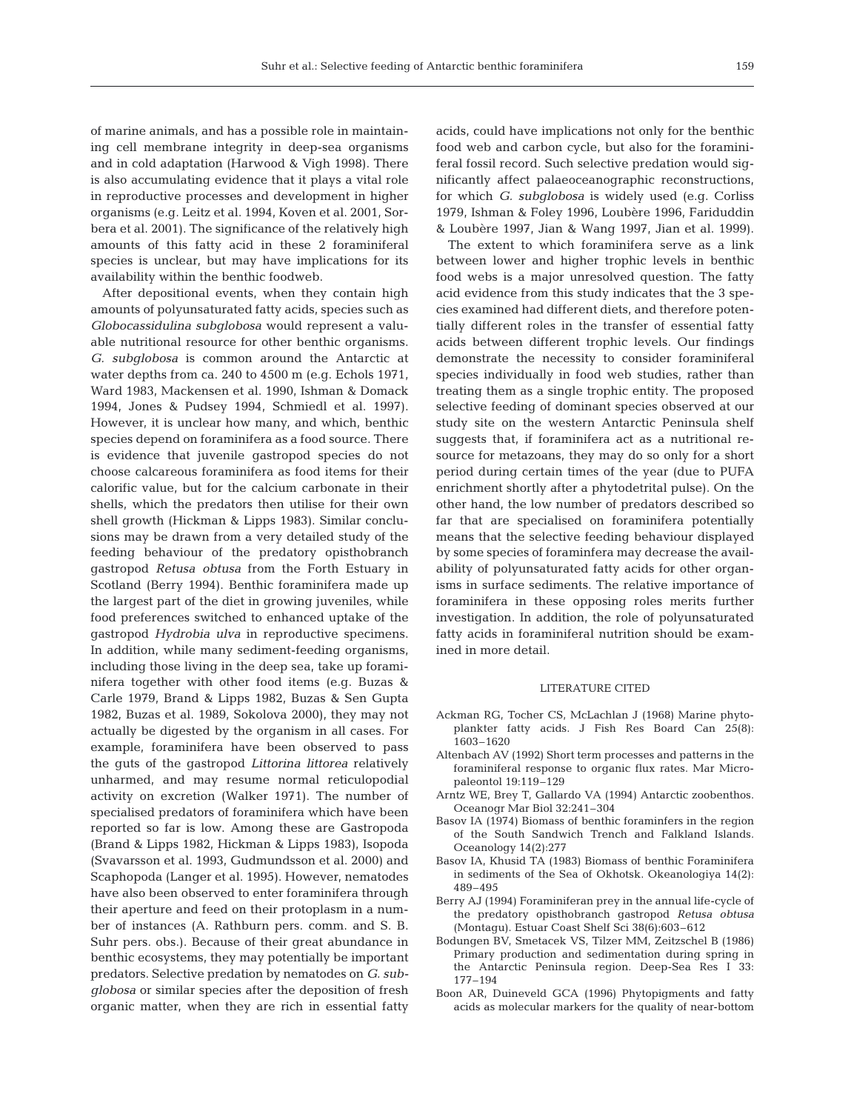of marine animals, and has a possible role in maintaining cell membrane integrity in deep-sea organisms and in cold adaptation (Harwood & Vigh 1998). There is also accumulating evidence that it plays a vital role in reproductive processes and development in higher organisms (e.g. Leitz et al. 1994, Koven et al. 2001, Sorbera et al. 2001). The significance of the relatively high amounts of this fatty acid in these 2 foraminiferal species is unclear, but may have implications for its availability within the benthic foodweb.

After depositional events, when they contain high amounts of polyunsaturated fatty acids, species such as *Globocassidulina subglobosa* would represent a valuable nutritional resource for other benthic organisms. *G. subglobosa* is common around the Antarctic at water depths from ca. 240 to 4500 m (e.g. Echols 1971, Ward 1983, Mackensen et al. 1990, Ishman & Domack 1994, Jones & Pudsey 1994, Schmiedl et al. 1997). However, it is unclear how many, and which, benthic species depend on foraminifera as a food source. There is evidence that juvenile gastropod species do not choose calcareous foraminifera as food items for their calorific value, but for the calcium carbonate in their shells, which the predators then utilise for their own shell growth (Hickman & Lipps 1983). Similar conclusions may be drawn from a very detailed study of the feeding behaviour of the predatory opisthobranch gastropod *Retusa obtusa* from the Forth Estuary in Scotland (Berry 1994). Benthic foraminifera made up the largest part of the diet in growing juveniles, while food preferences switched to enhanced uptake of the gastropod *Hydrobia ulva* in reproductive specimens. In addition, while many sediment-feeding organisms, including those living in the deep sea, take up foraminifera together with other food items (e.g. Buzas & Carle 1979, Brand & Lipps 1982, Buzas & Sen Gupta 1982, Buzas et al. 1989, Sokolova 2000), they may not actually be digested by the organism in all cases. For example, foraminifera have been observed to pass the guts of the gastropod *Littorina littorea* relatively unharmed, and may resume normal reticulopodial activity on excretion (Walker 1971). The number of specialised predators of foraminifera which have been reported so far is low. Among these are Gastropoda (Brand & Lipps 1982, Hickman & Lipps 1983), Isopoda (Svavarsson et al. 1993, Gudmundsson et al. 2000) and Scaphopoda (Langer et al. 1995). However, nematodes have also been observed to enter foraminifera through their aperture and feed on their protoplasm in a number of instances (A. Rathburn pers. comm. and S. B. Suhr pers. obs.). Because of their great abundance in benthic ecosystems, they may potentially be important predators. Selective predation by nematodes on *G. subglobosa* or similar species after the deposition of fresh organic matter, when they are rich in essential fatty

acids, could have implications not only for the benthic food web and carbon cycle, but also for the foraminiferal fossil record. Such selective predation would significantly affect palaeoceanographic reconstructions, for which *G. subglobosa* is widely used (e.g. Corliss 1979, Ishman & Foley 1996, Loubère 1996, Fariduddin & Loubère 1997, Jian & Wang 1997, Jian et al. 1999).

The extent to which foraminifera serve as a link between lower and higher trophic levels in benthic food webs is a major unresolved question. The fatty acid evidence from this study indicates that the 3 species examined had different diets, and therefore potentially different roles in the transfer of essential fatty acids between different trophic levels. Our findings demonstrate the necessity to consider foraminiferal species individually in food web studies, rather than treating them as a single trophic entity. The proposed selective feeding of dominant species observed at our study site on the western Antarctic Peninsula shelf suggests that, if foraminifera act as a nutritional resource for metazoans, they may do so only for a short period during certain times of the year (due to PUFA enrichment shortly after a phytodetrital pulse). On the other hand, the low number of predators described so far that are specialised on foraminifera potentially means that the selective feeding behaviour displayed by some species of foraminfera may decrease the availability of polyunsaturated fatty acids for other organisms in surface sediments. The relative importance of foraminifera in these opposing roles merits further investigation. In addition, the role of polyunsaturated fatty acids in foraminiferal nutrition should be examined in more detail.

#### LITERATURE CITED

- Ackman RG, Tocher CS, McLachlan J (1968) Marine phytoplankter fatty acids. J Fish Res Board Can 25(8): 1603–1620
- Altenbach AV (1992) Short term processes and patterns in the foraminiferal response to organic flux rates. Mar Micropaleontol 19:119–129
- Arntz WE, Brey T, Gallardo VA (1994) Antarctic zoobenthos. Oceanogr Mar Biol 32:241–304
- Basov IA (1974) Biomass of benthic foraminfers in the region of the South Sandwich Trench and Falkland Islands. Oceanology 14(2):277
- Basov IA, Khusid TA (1983) Biomass of benthic Foraminifera in sediments of the Sea of Okhotsk. Okeanologiya 14(2): 489–495
- Berry AJ (1994) Foraminiferan prey in the annual life-cycle of the predatory opisthobranch gastropod *Retusa obtusa* (Montagu). Estuar Coast Shelf Sci 38(6):603–612
- Bodungen BV, Smetacek VS, Tilzer MM, Zeitzschel B (1986) Primary production and sedimentation during spring in the Antarctic Peninsula region. Deep-Sea Res I 33: 177–194
- Boon AR, Duineveld GCA (1996) Phytopigments and fatty acids as molecular markers for the quality of near-bottom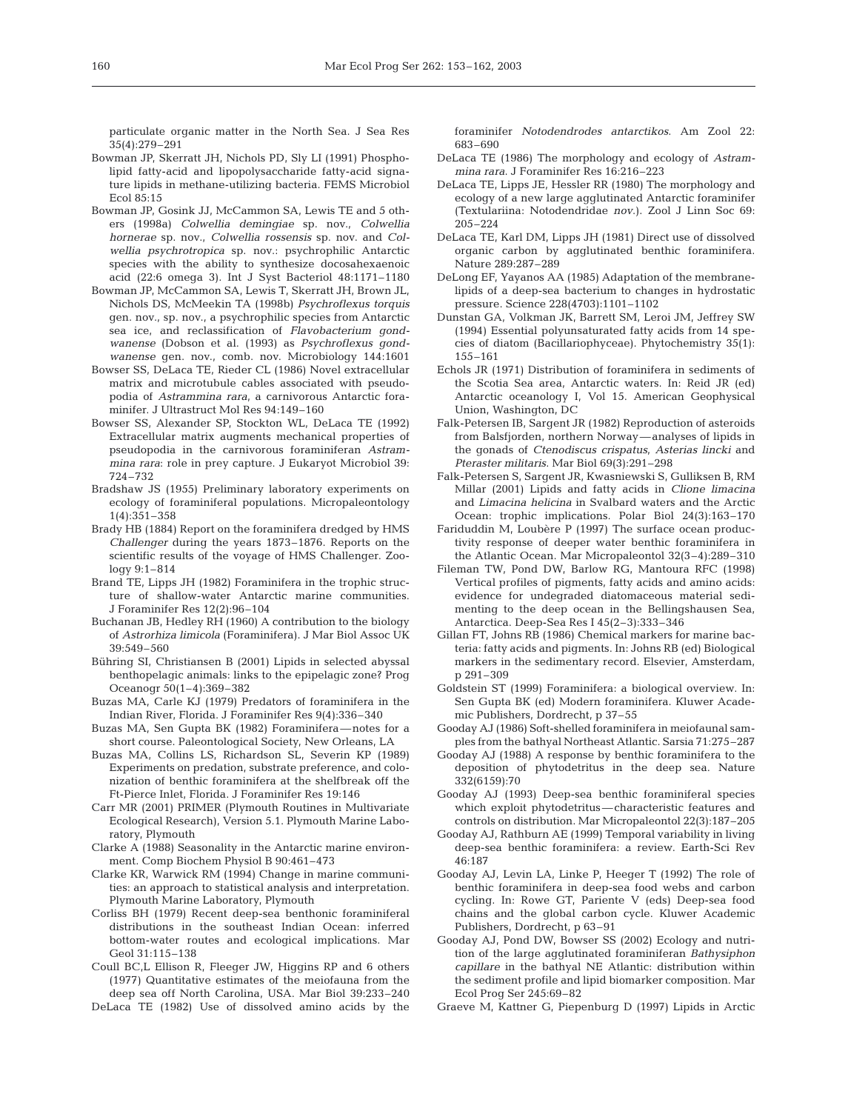particulate organic matter in the North Sea. J Sea Res 35(4):279–291

- Bowman JP, Skerratt JH, Nichols PD, Sly LI (1991) Phospholipid fatty-acid and lipopolysaccharide fatty-acid signature lipids in methane-utilizing bacteria. FEMS Microbiol Ecol 85:15
- Bowman JP, Gosink JJ, McCammon SA, Lewis TE and 5 others (1998a) *Colwellia demingiae* sp. nov., *Colwellia hornerae* sp. nov., *Colwellia rossensis* sp. nov. and *Colwellia psychrotropica* sp. nov.: psychrophilic Antarctic species with the ability to synthesize docosahexaenoic acid (22:6 omega 3). Int J Syst Bacteriol 48:1171–1180
- Bowman JP, McCammon SA, Lewis T, Skerratt JH, Brown JL, Nichols DS, McMeekin TA (1998b) *Psychroflexus torquis* gen. nov., sp. nov., a psychrophilic species from Antarctic sea ice, and reclassification of *Flavobacterium gondwanense* (Dobson et al. (1993) as *Psychroflexus gondwanense* gen. nov., comb. nov. Microbiology 144:1601
- Bowser SS, DeLaca TE, Rieder CL (1986) Novel extracellular matrix and microtubule cables associated with pseudopodia of *Astrammina rara*, a carnivorous Antarctic foraminifer. J Ultrastruct Mol Res 94:149–160
- Bowser SS, Alexander SP, Stockton WL, DeLaca TE (1992) Extracellular matrix augments mechanical properties of pseudopodia in the carnivorous foraminiferan *Astrammina rara*: role in prey capture. J Eukaryot Microbiol 39: 724–732
- Bradshaw JS (1955) Preliminary laboratory experiments on ecology of foraminiferal populations. Micropaleontology 1(4):351–358
- Brady HB (1884) Report on the foraminifera dredged by HMS *Challenger* during the years 1873–1876. Reports on the scientific results of the voyage of HMS Challenger. Zoology 9:1–814
- Brand TE, Lipps JH (1982) Foraminifera in the trophic structure of shallow-water Antarctic marine communities. J Foraminifer Res 12(2):96–104
- Buchanan JB, Hedley RH (1960) A contribution to the biology of *Astrorhiza limicola* (Foraminifera). J Mar Biol Assoc UK 39:549–560
- Bühring SI, Christiansen B (2001) Lipids in selected abyssal benthopelagic animals: links to the epipelagic zone? Prog Oceanogr 50(1–4):369–382
- Buzas MA, Carle KJ (1979) Predators of foraminifera in the Indian River, Florida. J Foraminifer Res 9(4):336–340
- Buzas MA, Sen Gupta BK (1982) Foraminifera—notes for a short course. Paleontological Society, New Orleans, LA
- Buzas MA, Collins LS, Richardson SL, Severin KP (1989) Experiments on predation, substrate preference, and colonization of benthic foraminifera at the shelfbreak off the Ft-Pierce Inlet, Florida. J Foraminifer Res 19:146
- Carr MR (2001) PRIMER (Plymouth Routines in Multivariate Ecological Research), Version 5.1. Plymouth Marine Laboratory, Plymouth
- Clarke A (1988) Seasonality in the Antarctic marine environment. Comp Biochem Physiol B 90:461–473
- Clarke KR, Warwick RM (1994) Change in marine communities: an approach to statistical analysis and interpretation. Plymouth Marine Laboratory, Plymouth
- Corliss BH (1979) Recent deep-sea benthonic foraminiferal distributions in the southeast Indian Ocean: inferred bottom-water routes and ecological implications. Mar Geol 31:115–138
- Coull BC,L Ellison R, Fleeger JW, Higgins RP and 6 others (1977) Quantitative estimates of the meiofauna from the deep sea off North Carolina, USA. Mar Biol 39:233–240
- DeLaca TE (1982) Use of dissolved amino acids by the

foraminifer *Notodendrodes antarctikos*. Am Zool 22: 683–690

- DeLaca TE (1986) The morphology and ecology of *Astrammina rara*. J Foraminifer Res 16:216–223
- DeLaca TE, Lipps JE, Hessler RR (1980) The morphology and ecology of a new large agglutinated Antarctic foraminifer (Textulariina: Notodendridae *nov*.). Zool J Linn Soc 69: 205–224
- DeLaca TE, Karl DM, Lipps JH (1981) Direct use of dissolved organic carbon by agglutinated benthic foraminifera. Nature 289:287–289
- DeLong EF, Yayanos AA (1985) Adaptation of the membranelipids of a deep-sea bacterium to changes in hydrostatic pressure. Science 228(4703):1101–1102
- Dunstan GA, Volkman JK, Barrett SM, Leroi JM, Jeffrey SW (1994) Essential polyunsaturated fatty acids from 14 species of diatom (Bacillariophyceae). Phytochemistry 35(1): 155–161
- Echols JR (1971) Distribution of foraminifera in sediments of the Scotia Sea area, Antarctic waters. In: Reid JR (ed) Antarctic oceanology I, Vol 15. American Geophysical Union, Washington, DC
- Falk-Petersen IB, Sargent JR (1982) Reproduction of asteroids from Balsfjorden, northern Norway—analyses of lipids in the gonads of *Ctenodiscus crispatus*, *Asterias lincki* and *Pteraster militaris*. Mar Biol 69(3):291–298
- Falk-Petersen S, Sargent JR, Kwasniewski S, Gulliksen B, RM Millar (2001) Lipids and fatty acids in *Clione limacina* and *Limacina helicina* in Svalbard waters and the Arctic Ocean: trophic implications. Polar Biol 24(3):163–170
- Fariduddin M, Loubère P (1997) The surface ocean productivity response of deeper water benthic foraminifera in the Atlantic Ocean. Mar Micropaleontol 32(3–4):289–310
- Fileman TW, Pond DW, Barlow RG, Mantoura RFC (1998) Vertical profiles of pigments, fatty acids and amino acids: evidence for undegraded diatomaceous material sedimenting to the deep ocean in the Bellingshausen Sea, Antarctica. Deep-Sea Res I 45(2–3):333–346
- Gillan FT, Johns RB (1986) Chemical markers for marine bacteria: fatty acids and pigments. In: Johns RB (ed) Biological markers in the sedimentary record. Elsevier, Amsterdam, p 291–309
- Goldstein ST (1999) Foraminifera: a biological overview. In: Sen Gupta BK (ed) Modern foraminifera. Kluwer Academic Publishers, Dordrecht, p 37–55
- Gooday AJ (1986) Soft-shelled foraminifera in meiofaunal samples from the bathyal Northeast Atlantic. Sarsia 71:275–287
- Gooday AJ (1988) A response by benthic foraminifera to the deposition of phytodetritus in the deep sea. Nature 332(6159):70
- Gooday AJ (1993) Deep-sea benthic foraminiferal species which exploit phytodetritus—characteristic features and controls on distribution. Mar Micropaleontol 22(3):187–205
- Gooday AJ, Rathburn AE (1999) Temporal variability in living deep-sea benthic foraminifera: a review. Earth-Sci Rev 46:187
- Gooday AJ, Levin LA, Linke P, Heeger T (1992) The role of benthic foraminifera in deep-sea food webs and carbon cycling. In: Rowe GT, Pariente V (eds) Deep-sea food chains and the global carbon cycle. Kluwer Academic Publishers, Dordrecht, p 63–91
- Gooday AJ, Pond DW, Bowser SS (2002) Ecology and nutrition of the large agglutinated foraminiferan *Bathysiphon capillare* in the bathyal NE Atlantic: distribution within the sediment profile and lipid biomarker composition. Mar Ecol Prog Ser 245:69–82
- Graeve M, Kattner G, Piepenburg D (1997) Lipids in Arctic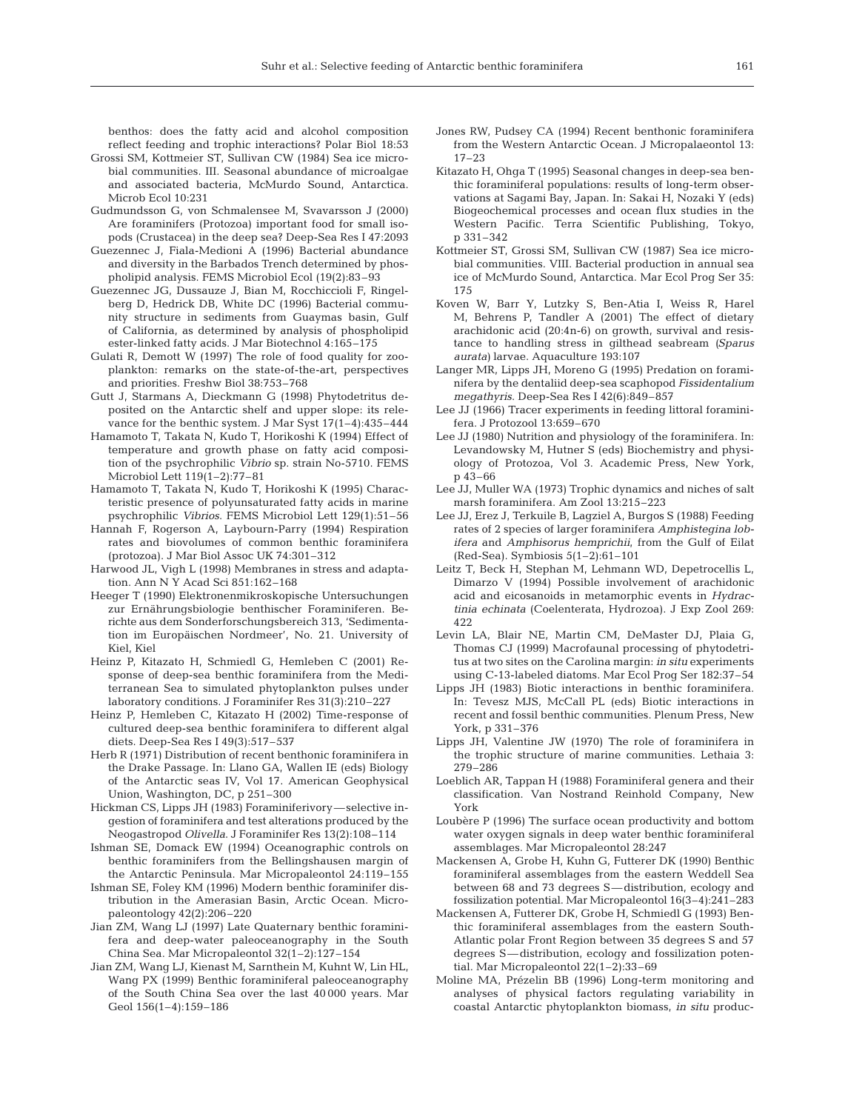benthos: does the fatty acid and alcohol composition reflect feeding and trophic interactions? Polar Biol 18:53

- Grossi SM, Kottmeier ST, Sullivan CW (1984) Sea ice microbial communities. III. Seasonal abundance of microalgae and associated bacteria, McMurdo Sound, Antarctica. Microb Ecol 10:231
- Gudmundsson G, von Schmalensee M, Svavarsson J (2000) Are foraminifers (Protozoa) important food for small isopods (Crustacea) in the deep sea? Deep-Sea Res I 47:2093
- Guezennec J, Fiala-Medioni A (1996) Bacterial abundance and diversity in the Barbados Trench determined by phospholipid analysis. FEMS Microbiol Ecol (19(2):83–93
- Guezennec JG, Dussauze J, Bian M, Rocchiccioli F, Ringelberg D, Hedrick DB, White DC (1996) Bacterial community structure in sediments from Guaymas basin, Gulf of California, as determined by analysis of phospholipid ester-linked fatty acids. J Mar Biotechnol 4:165–175
- Gulati R, Demott W (1997) The role of food quality for zooplankton: remarks on the state-of-the-art, perspectives and priorities. Freshw Biol 38:753–768
- Gutt J, Starmans A, Dieckmann G (1998) Phytodetritus deposited on the Antarctic shelf and upper slope: its relevance for the benthic system. J Mar Syst 17(1–4):435–444
- Hamamoto T, Takata N, Kudo T, Horikoshi K (1994) Effect of temperature and growth phase on fatty acid composition of the psychrophilic *Vibrio* sp. strain No-5710. FEMS Microbiol Lett 119(1–2):77–81
- Hamamoto T, Takata N, Kudo T, Horikoshi K (1995) Characteristic presence of polyunsaturated fatty acids in marine psychrophilic *Vibrios*. FEMS Microbiol Lett 129(1):51–56
- Hannah F, Rogerson A, Laybourn-Parry (1994) Respiration rates and biovolumes of common benthic foraminifera (protozoa). J Mar Biol Assoc UK 74:301–312
- Harwood JL, Vigh L (1998) Membranes in stress and adaptation. Ann N Y Acad Sci 851:162–168
- Heeger T (1990) Elektronenmikroskopische Untersuchungen zur Ernährungsbiologie benthischer Foraminiferen. Berichte aus dem Sonderforschungsbereich 313, 'Sedimentation im Europäischen Nordmeer', No. 21. University of Kiel, Kiel
- Heinz P, Kitazato H, Schmiedl G, Hemleben C (2001) Response of deep-sea benthic foraminifera from the Mediterranean Sea to simulated phytoplankton pulses under laboratory conditions. J Foraminifer Res 31(3):210–227
- Heinz P, Hemleben C, Kitazato H (2002) Time-response of cultured deep-sea benthic foraminifera to different algal diets. Deep-Sea Res I 49(3):517–537
- Herb R (1971) Distribution of recent benthonic foraminifera in the Drake Passage. In: Llano GA, Wallen IE (eds) Biology of the Antarctic seas IV, Vol 17. American Geophysical Union, Washington, DC, p 251–300
- Hickman CS, Lipps JH (1983) Foraminiferivory—selective ingestion of foraminifera and test alterations produced by the Neogastropod *Olivella*. J Foraminifer Res 13(2):108–114
- Ishman SE, Domack EW (1994) Oceanographic controls on benthic foraminifers from the Bellingshausen margin of the Antarctic Peninsula. Mar Micropaleontol 24:119–155
- Ishman SE, Foley KM (1996) Modern benthic foraminifer distribution in the Amerasian Basin, Arctic Ocean. Micropaleontology 42(2):206–220
- Jian ZM, Wang LJ (1997) Late Quaternary benthic foraminifera and deep-water paleoceanography in the South China Sea. Mar Micropaleontol 32(1–2):127–154
- Jian ZM, Wang LJ, Kienast M, Sarnthein M, Kuhnt W, Lin HL, Wang PX (1999) Benthic foraminiferal paleoceanography of the South China Sea over the last 40 000 years. Mar Geol 156(1–4):159–186
- Jones RW, Pudsey CA (1994) Recent benthonic foraminifera from the Western Antarctic Ocean. J Micropalaeontol 13: 17–23
- Kitazato H, Ohga T (1995) Seasonal changes in deep-sea benthic foraminiferal populations: results of long-term observations at Sagami Bay, Japan. In: Sakai H, Nozaki Y (eds) Biogeochemical processes and ocean flux studies in the Western Pacific. Terra Scientific Publishing, Tokyo, p 331–342
- Kottmeier ST, Grossi SM, Sullivan CW (1987) Sea ice microbial communities. VIII. Bacterial production in annual sea ice of McMurdo Sound, Antarctica. Mar Ecol Prog Ser 35: 175
- Koven W, Barr Y, Lutzky S, Ben-Atia I, Weiss R, Harel M, Behrens P, Tandler A (2001) The effect of dietary arachidonic acid (20:4n-6) on growth, survival and resistance to handling stress in gilthead seabream *(Sparus aurata)* larvae. Aquaculture 193:107
- Langer MR, Lipps JH, Moreno G (1995) Predation on foraminifera by the dentaliid deep-sea scaphopod *Fissidentalium megathyris*. Deep-Sea Res I 42(6):849–857
- Lee JJ (1966) Tracer experiments in feeding littoral foraminifera. J Protozool 13:659–670
- Lee JJ (1980) Nutrition and physiology of the foraminifera. In: Levandowsky M, Hutner S (eds) Biochemistry and physiology of Protozoa, Vol 3. Academic Press, New York, p 43–66
- Lee JJ, Muller WA (1973) Trophic dynamics and niches of salt marsh foraminifera. Am Zool 13:215–223
- Lee JJ, Erez J, Terkuile B, Lagziel A, Burgos S (1988) Feeding rates of 2 species of larger foraminifera *Amphistegina lobifera* and *Amphisorus hemprichii*, from the Gulf of Eilat (Red-Sea). Symbiosis 5(1–2):61–101
- Leitz T, Beck H, Stephan M, Lehmann WD, Depetrocellis L, Dimarzo V (1994) Possible involvement of arachidonic acid and eicosanoids in metamorphic events in *Hydractinia echinata* (Coelenterata, Hydrozoa). J Exp Zool 269: 422
- Levin LA, Blair NE, Martin CM, DeMaster DJ, Plaia G, Thomas CJ (1999) Macrofaunal processing of phytodetritus at two sites on the Carolina margin: *in situ* experiments using C-13-labeled diatoms. Mar Ecol Prog Ser 182:37–54
- Lipps JH (1983) Biotic interactions in benthic foraminifera. In: Tevesz MJS, McCall PL (eds) Biotic interactions in recent and fossil benthic communities. Plenum Press, New York, p 331–376
- Lipps JH, Valentine JW (1970) The role of foraminifera in the trophic structure of marine communities. Lethaia 3: 279–286
- Loeblich AR, Tappan H (1988) Foraminiferal genera and their classification. Van Nostrand Reinhold Company, New York
- Loubère P (1996) The surface ocean productivity and bottom water oxygen signals in deep water benthic foraminiferal assemblages. Mar Micropaleontol 28:247
- Mackensen A, Grobe H, Kuhn G, Futterer DK (1990) Benthic foraminiferal assemblages from the eastern Weddell Sea between 68 and 73 degrees S—distribution, ecology and fossilization potential. Mar Micropaleontol 16(3–4):241–283
- Mackensen A, Futterer DK, Grobe H, Schmiedl G (1993) Benthic foraminiferal assemblages from the eastern South-Atlantic polar Front Region between 35 degrees S and 57 degrees S—distribution, ecology and fossilization potential. Mar Micropaleontol 22(1–2):33–69
- Moline MA, Prézelin BB (1996) Long-term monitoring and analyses of physical factors regulating variability in coastal Antarctic phytoplankton biomass, *in situ* produc-